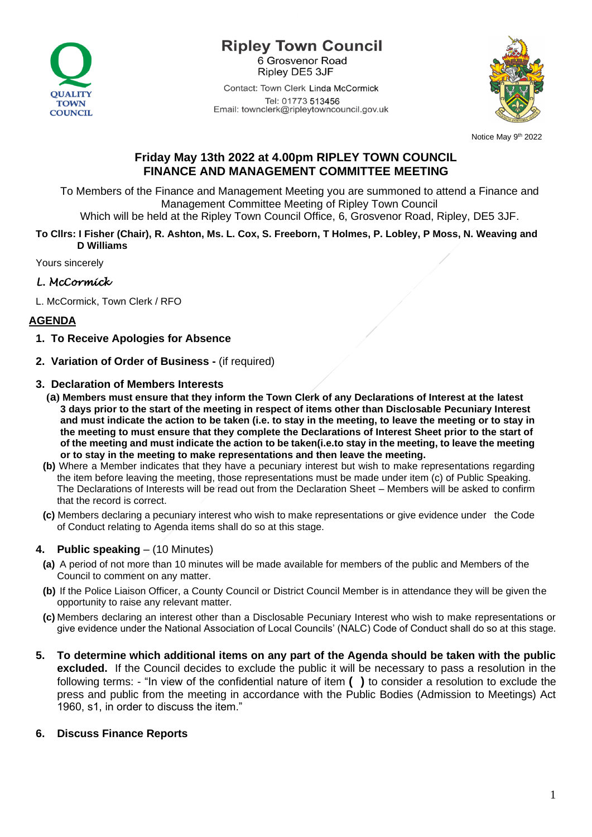

### **Ripley Town Council** 6 Grosvenor Road Ripley DE5 3JF

Contact: Town Clerk Linda McCormick Tel: 01773 513456 Email: townclerk@ripleytowncouncil.gov.uk



Notice May 9th 2022

# **Friday May 13th 2022 at 4.00pm RIPLEY TOWN COUNCIL FINANCE AND MANAGEMENT COMMITTEE MEETING**

To Members of the Finance and Management Meeting you are summoned to attend a Finance and Management Committee Meeting of Ripley Town Council

Which will be held at the Ripley Town Council Office, 6, Grosvenor Road, Ripley, DE5 3JF.

#### **To Cllrs: I Fisher (Chair), R. Ashton, Ms. L. Cox, S. Freeborn, T Holmes, P. Lobley, P Moss, N. Weaving and D Williams**

Yours sincerely

# *L. McCormick*

L. McCormick, Town Clerk / RFO

# **AGENDA**

- **1. To Receive Apologies for Absence**
- **2. Variation of Order of Business -** (if required)

### **3. Declaration of Members Interests**

- **(a) Members must ensure that they inform the Town Clerk of any Declarations of Interest at the latest 3 days prior to the start of the meeting in respect of items other than Disclosable Pecuniary Interest and must indicate the action to be taken (i.e. to stay in the meeting, to leave the meeting or to stay in the meeting to must ensure that they complete the Declarations of Interest Sheet prior to the start of of the meeting and must indicate the action to be taken(i.e.to stay in the meeting, to leave the meeting or to stay in the meeting to make representations and then leave the meeting.**
- **(b)** Where a Member indicates that they have a pecuniary interest but wish to make representations regarding the item before leaving the meeting, those representations must be made under item (c) of Public Speaking. The Declarations of Interests will be read out from the Declaration Sheet – Members will be asked to confirm that the record is correct.
- **(c)** Members declaring a pecuniary interest who wish to make representations or give evidence under the Code of Conduct relating to Agenda items shall do so at this stage.

## **4. Public speaking** – (10 Minutes)

- **(a)** A period of not more than 10 minutes will be made available for members of the public and Members of the Council to comment on any matter.
- **(b)** If the Police Liaison Officer, a County Council or District Council Member is in attendance they will be given the opportunity to raise any relevant matter.
- **(c)** Members declaring an interest other than a Disclosable Pecuniary Interest who wish to make representations or give evidence under the National Association of Local Councils' (NALC) Code of Conduct shall do so at this stage.
- **5. To determine which additional items on any part of the Agenda should be taken with the public excluded.** If the Council decides to exclude the public it will be necessary to pass a resolution in the following terms: - "In view of the confidential nature of item **( )** to consider a resolution to exclude the press and public from the meeting in accordance with the Public Bodies (Admission to Meetings) Act 1960, s1, in order to discuss the item."

## **6. Discuss Finance Reports**